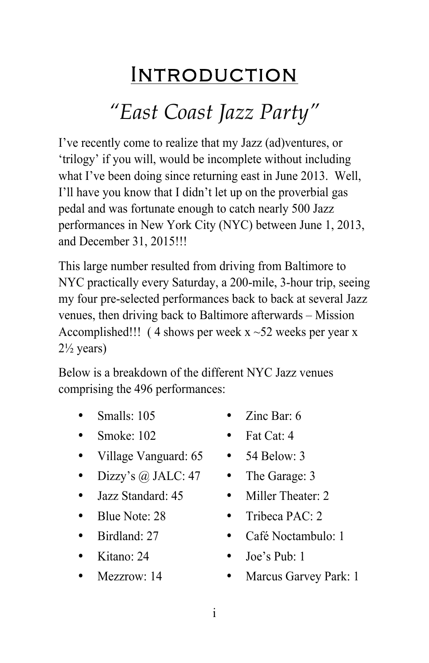## INTRODUCTION

# *"East Coast Jazz Party"*

I've recently come to realize that my Jazz (ad)ventures, or 'trilogy' if you will, would be incomplete without including what I've been doing since returning east in June 2013. Well, I'll have you know that I didn't let up on the proverbial gas pedal and was fortunate enough to catch nearly 500 Jazz performances in New York City (NYC) between June 1, 2013, and December 31, 2015!!!

This large number resulted from driving from Baltimore to NYC practically every Saturday, a 200-mile, 3-hour trip, seeing my four pre-selected performances back to back at several Jazz venues, then driving back to Baltimore afterwards – Mission Accomplished!!! (4 shows per week  $x \sim 52$  weeks per year x  $2\frac{1}{2}$  years)

Below is a breakdown of the different NYC Jazz venues comprising the 496 performances:

• Smalls: 105

• Zinc Bar: 6

- Smoke:  $102$
- Village Vanguard: 65
- Dizzy's  $\omega$ , JALC: 47
- Jazz Standard: 45
- Blue Note: 28
- Birdland<sup>-</sup> 27
- Kitano: 24
- Mezzrow: 14
- Fat Cat: 4
- $\bullet$  54 Below 3
- The Garage: 3
- Miller Theater: 2
- Tribeca PAC: 2
- Café Noctambulo: 1
- Joe's Pub: 1
- Marcus Garvey Park: 1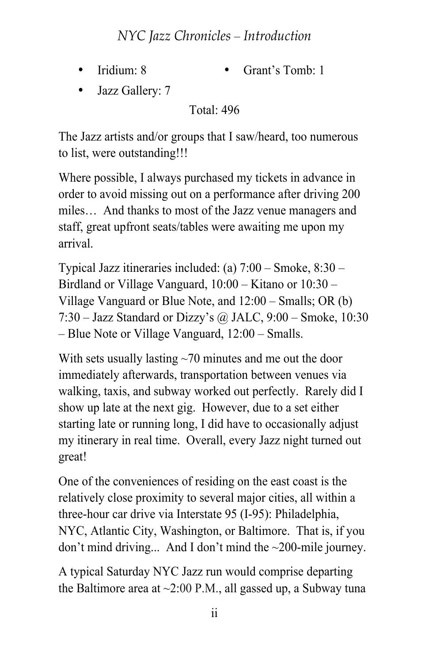### *NYC Jazz Chronicles* – *Introduction*

• Iridium: 8

• Grant's Tomb: 1

• Jazz Gallery: 7

Total: 496

The Jazz artists and/or groups that I saw/heard, too numerous to list, were outstanding!!!

Where possible, I always purchased my tickets in advance in order to avoid missing out on a performance after driving 200 miles… And thanks to most of the Jazz venue managers and staff, great upfront seats/tables were awaiting me upon my arrival.

Typical Jazz itineraries included: (a) 7:00 – Smoke, 8:30 – Birdland or Village Vanguard, 10:00 – Kitano or 10:30 – Village Vanguard or Blue Note, and 12:00 – Smalls; OR (b) 7:30 – Jazz Standard or Dizzy's @ JALC, 9:00 – Smoke, 10:30 – Blue Note or Village Vanguard, 12:00 – Smalls.

With sets usually lasting  $\sim$ 70 minutes and me out the door immediately afterwards, transportation between venues via walking, taxis, and subway worked out perfectly. Rarely did I show up late at the next gig. However, due to a set either starting late or running long, I did have to occasionally adjust my itinerary in real time. Overall, every Jazz night turned out great!

One of the conveniences of residing on the east coast is the relatively close proximity to several major cities, all within a three-hour car drive via Interstate 95 (I-95): Philadelphia, NYC, Atlantic City, Washington, or Baltimore. That is, if you don't mind driving... And I don't mind the ~200-mile journey.

A typical Saturday NYC Jazz run would comprise departing the Baltimore area at  $\sim$ 2:00 P.M., all gassed up, a Subway tuna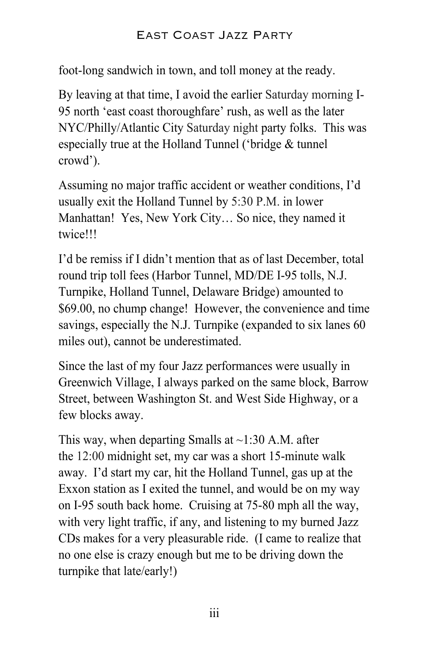#### East Coast Jazz Party

foot-long sandwich in town, and toll money at the ready.

By leaving at that time, I avoid the earlier Saturday morning I-95 north 'east coast thoroughfare' rush, as well as the later NYC/Philly/Atlantic City Saturday night party folks. This was especially true at the Holland Tunnel ('bridge & tunnel crowd').

Assuming no major traffic accident or weather conditions, I'd usually exit the Holland Tunnel by 5:30 P.M. in lower Manhattan! Yes, New York City… So nice, they named it twice!!!

I'd be remiss if I didn't mention that as of last December, total round trip toll fees (Harbor Tunnel, MD/DE I-95 tolls, N.J. Turnpike, Holland Tunnel, Delaware Bridge) amounted to \$69.00, no chump change! However, the convenience and time savings, especially the N.J. Turnpike (expanded to six lanes 60 miles out), cannot be underestimated.

Since the last of my four Jazz performances were usually in Greenwich Village, I always parked on the same block, Barrow Street, between Washington St. and West Side Highway, or a few blocks away.

This way, when departing Smalls at  $\sim$ 1:30 A.M. after the 12:00 midnight set, my car was a short 15-minute walk away. I'd start my car, hit the Holland Tunnel, gas up at the Exxon station as I exited the tunnel, and would be on my way on I-95 south back home. Cruising at 75-80 mph all the way, with very light traffic, if any, and listening to my burned Jazz CDs makes for a very pleasurable ride. (I came to realize that no one else is crazy enough but me to be driving down the turnpike that late/early!)